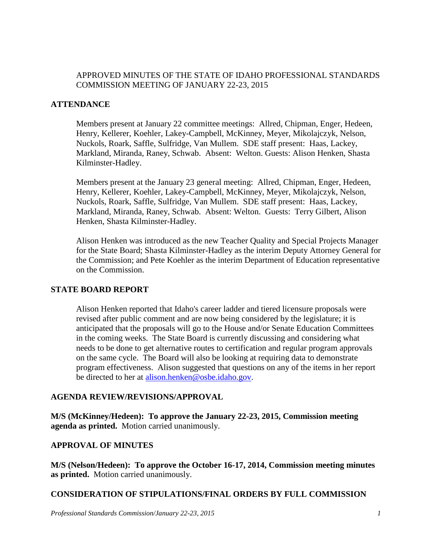## APPROVED MINUTES OF THE STATE OF IDAHO PROFESSIONAL STANDARDS COMMISSION MEETING OF JANUARY 22-23, 2015

## **ATTENDANCE**

Members present at January 22 committee meetings: Allred, Chipman, Enger, Hedeen, Henry, Kellerer, Koehler, Lakey-Campbell, McKinney, Meyer, Mikolajczyk, Nelson, Nuckols, Roark, Saffle, Sulfridge, Van Mullem. SDE staff present: Haas, Lackey, Markland, Miranda, Raney, Schwab. Absent: Welton. Guests: Alison Henken, Shasta Kilminster-Hadley.

Members present at the January 23 general meeting: Allred, Chipman, Enger, Hedeen, Henry, Kellerer, Koehler, Lakey-Campbell, McKinney, Meyer, Mikolajczyk, Nelson, Nuckols, Roark, Saffle, Sulfridge, Van Mullem. SDE staff present: Haas, Lackey, Markland, Miranda, Raney, Schwab. Absent: Welton. Guests: Terry Gilbert, Alison Henken, Shasta Kilminster-Hadley.

Alison Henken was introduced as the new Teacher Quality and Special Projects Manager for the State Board; Shasta Kilminster-Hadley as the interim Deputy Attorney General for the Commission; and Pete Koehler as the interim Department of Education representative on the Commission.

## **STATE BOARD REPORT**

Alison Henken reported that Idaho's career ladder and tiered licensure proposals were revised after public comment and are now being considered by the legislature; it is anticipated that the proposals will go to the House and/or Senate Education Committees in the coming weeks. The State Board is currently discussing and considering what needs to be done to get alternative routes to certification and regular program approvals on the same cycle. The Board will also be looking at requiring data to demonstrate program effectiveness. Alison suggested that questions on any of the items in her report be directed to her at [alison.henken@osbe.idaho.gov.](mailto:alison.henken@osbe.idaho.gov)

## **AGENDA REVIEW/REVISIONS/APPROVAL**

**M/S (McKinney/Hedeen): To approve the January 22-23, 2015, Commission meeting agenda as printed.** Motion carried unanimously.

## **APPROVAL OF MINUTES**

**M/S (Nelson/Hedeen): To approve the October 16-17, 2014, Commission meeting minutes as printed.** Motion carried unanimously.

## **CONSIDERATION OF STIPULATIONS/FINAL ORDERS BY FULL COMMISSION**

*Professional Standards Commission/January 22-23, 2015 1*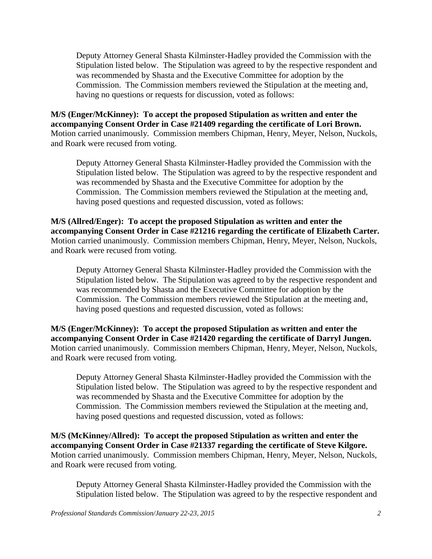Deputy Attorney General Shasta Kilminster-Hadley provided the Commission with the Stipulation listed below. The Stipulation was agreed to by the respective respondent and was recommended by Shasta and the Executive Committee for adoption by the Commission. The Commission members reviewed the Stipulation at the meeting and, having no questions or requests for discussion, voted as follows:

**M/S (Enger/McKinney): To accept the proposed Stipulation as written and enter the accompanying Consent Order in Case #21409 regarding the certificate of Lori Brown.**  Motion carried unanimously. Commission members Chipman, Henry, Meyer, Nelson, Nuckols, and Roark were recused from voting.

Deputy Attorney General Shasta Kilminster-Hadley provided the Commission with the Stipulation listed below. The Stipulation was agreed to by the respective respondent and was recommended by Shasta and the Executive Committee for adoption by the Commission. The Commission members reviewed the Stipulation at the meeting and, having posed questions and requested discussion, voted as follows:

**M/S (Allred/Enger): To accept the proposed Stipulation as written and enter the accompanying Consent Order in Case #21216 regarding the certificate of Elizabeth Carter.**  Motion carried unanimously. Commission members Chipman, Henry, Meyer, Nelson, Nuckols, and Roark were recused from voting.

Deputy Attorney General Shasta Kilminster-Hadley provided the Commission with the Stipulation listed below. The Stipulation was agreed to by the respective respondent and was recommended by Shasta and the Executive Committee for adoption by the Commission. The Commission members reviewed the Stipulation at the meeting and, having posed questions and requested discussion, voted as follows:

**M/S (Enger/McKinney): To accept the proposed Stipulation as written and enter the accompanying Consent Order in Case #21420 regarding the certificate of Darryl Jungen.**  Motion carried unanimously. Commission members Chipman, Henry, Meyer, Nelson, Nuckols, and Roark were recused from voting.

Deputy Attorney General Shasta Kilminster-Hadley provided the Commission with the Stipulation listed below. The Stipulation was agreed to by the respective respondent and was recommended by Shasta and the Executive Committee for adoption by the Commission. The Commission members reviewed the Stipulation at the meeting and, having posed questions and requested discussion, voted as follows:

**M/S (McKinney/Allred): To accept the proposed Stipulation as written and enter the accompanying Consent Order in Case #21337 regarding the certificate of Steve Kilgore.**  Motion carried unanimously. Commission members Chipman, Henry, Meyer, Nelson, Nuckols, and Roark were recused from voting.

Deputy Attorney General Shasta Kilminster-Hadley provided the Commission with the Stipulation listed below. The Stipulation was agreed to by the respective respondent and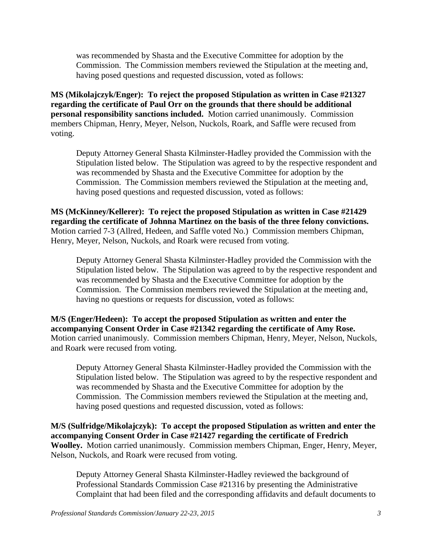was recommended by Shasta and the Executive Committee for adoption by the Commission. The Commission members reviewed the Stipulation at the meeting and, having posed questions and requested discussion, voted as follows:

**MS (Mikolajczyk/Enger): To reject the proposed Stipulation as written in Case #21327 regarding the certificate of Paul Orr on the grounds that there should be additional personal responsibility sanctions included.** Motion carried unanimously. Commission members Chipman, Henry, Meyer, Nelson, Nuckols, Roark, and Saffle were recused from voting.

Deputy Attorney General Shasta Kilminster-Hadley provided the Commission with the Stipulation listed below. The Stipulation was agreed to by the respective respondent and was recommended by Shasta and the Executive Committee for adoption by the Commission. The Commission members reviewed the Stipulation at the meeting and, having posed questions and requested discussion, voted as follows:

**MS (McKinney/Kellerer): To reject the proposed Stipulation as written in Case #21429 regarding the certificate of Johnna Martinez on the basis of the three felony convictions.**  Motion carried 7-3 (Allred, Hedeen, and Saffle voted No.) Commission members Chipman, Henry, Meyer, Nelson, Nuckols, and Roark were recused from voting.

Deputy Attorney General Shasta Kilminster-Hadley provided the Commission with the Stipulation listed below. The Stipulation was agreed to by the respective respondent and was recommended by Shasta and the Executive Committee for adoption by the Commission. The Commission members reviewed the Stipulation at the meeting and, having no questions or requests for discussion, voted as follows:

**M/S (Enger/Hedeen): To accept the proposed Stipulation as written and enter the accompanying Consent Order in Case #21342 regarding the certificate of Amy Rose.**  Motion carried unanimously. Commission members Chipman, Henry, Meyer, Nelson, Nuckols, and Roark were recused from voting.

Deputy Attorney General Shasta Kilminster-Hadley provided the Commission with the Stipulation listed below. The Stipulation was agreed to by the respective respondent and was recommended by Shasta and the Executive Committee for adoption by the Commission. The Commission members reviewed the Stipulation at the meeting and, having posed questions and requested discussion, voted as follows:

**M/S (Sulfridge/Mikolajczyk): To accept the proposed Stipulation as written and enter the accompanying Consent Order in Case #21427 regarding the certificate of Fredrich Woolley.** Motion carried unanimously. Commission members Chipman, Enger, Henry, Meyer, Nelson, Nuckols, and Roark were recused from voting.

Deputy Attorney General Shasta Kilminster-Hadley reviewed the background of Professional Standards Commission Case #21316 by presenting the Administrative Complaint that had been filed and the corresponding affidavits and default documents to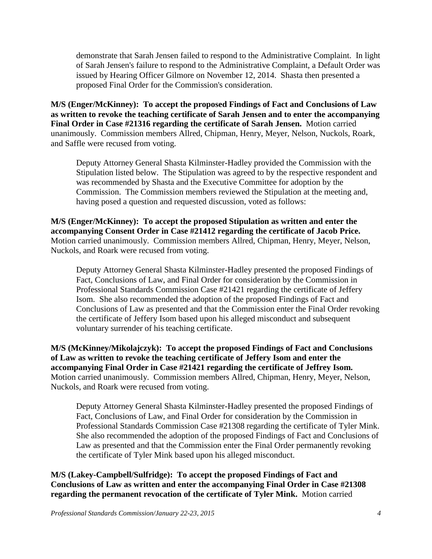demonstrate that Sarah Jensen failed to respond to the Administrative Complaint. In light of Sarah Jensen's failure to respond to the Administrative Complaint, a Default Order was issued by Hearing Officer Gilmore on November 12, 2014. Shasta then presented a proposed Final Order for the Commission's consideration.

**M/S (Enger/McKinney): To accept the proposed Findings of Fact and Conclusions of Law as written to revoke the teaching certificate of Sarah Jensen and to enter the accompanying Final Order in Case #21316 regarding the certificate of Sarah Jensen.** Motion carried unanimously. Commission members Allred, Chipman, Henry, Meyer, Nelson, Nuckols, Roark, and Saffle were recused from voting.

Deputy Attorney General Shasta Kilminster-Hadley provided the Commission with the Stipulation listed below. The Stipulation was agreed to by the respective respondent and was recommended by Shasta and the Executive Committee for adoption by the Commission. The Commission members reviewed the Stipulation at the meeting and, having posed a question and requested discussion, voted as follows:

**M/S (Enger/McKinney): To accept the proposed Stipulation as written and enter the accompanying Consent Order in Case #21412 regarding the certificate of Jacob Price.**  Motion carried unanimously. Commission members Allred, Chipman, Henry, Meyer, Nelson, Nuckols, and Roark were recused from voting.

Deputy Attorney General Shasta Kilminster-Hadley presented the proposed Findings of Fact, Conclusions of Law, and Final Order for consideration by the Commission in Professional Standards Commission Case #21421 regarding the certificate of Jeffery Isom. She also recommended the adoption of the proposed Findings of Fact and Conclusions of Law as presented and that the Commission enter the Final Order revoking the certificate of Jeffery Isom based upon his alleged misconduct and subsequent voluntary surrender of his teaching certificate.

**M/S (McKinney/Mikolajczyk): To accept the proposed Findings of Fact and Conclusions of Law as written to revoke the teaching certificate of Jeffery Isom and enter the accompanying Final Order in Case #21421 regarding the certificate of Jeffrey Isom.**  Motion carried unanimously. Commission members Allred, Chipman, Henry, Meyer, Nelson, Nuckols, and Roark were recused from voting.

Deputy Attorney General Shasta Kilminster-Hadley presented the proposed Findings of Fact, Conclusions of Law, and Final Order for consideration by the Commission in Professional Standards Commission Case #21308 regarding the certificate of Tyler Mink. She also recommended the adoption of the proposed Findings of Fact and Conclusions of Law as presented and that the Commission enter the Final Order permanently revoking the certificate of Tyler Mink based upon his alleged misconduct.

**M/S (Lakey-Campbell/Sulfridge): To accept the proposed Findings of Fact and Conclusions of Law as written and enter the accompanying Final Order in Case #21308 regarding the permanent revocation of the certificate of Tyler Mink.** Motion carried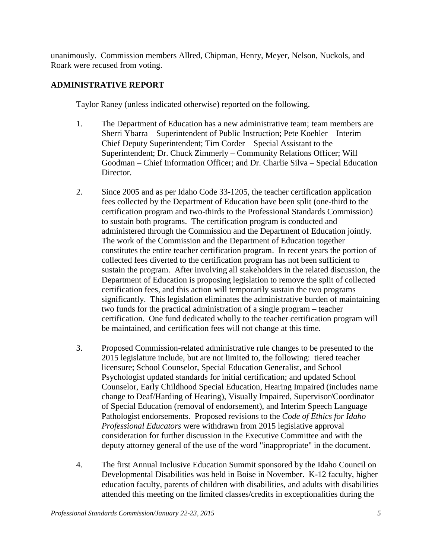unanimously. Commission members Allred, Chipman, Henry, Meyer, Nelson, Nuckols, and Roark were recused from voting.

## **ADMINISTRATIVE REPORT**

Taylor Raney (unless indicated otherwise) reported on the following.

- 1. The Department of Education has a new administrative team; team members are Sherri Ybarra – Superintendent of Public Instruction; Pete Koehler – Interim Chief Deputy Superintendent; Tim Corder – Special Assistant to the Superintendent; Dr. Chuck Zimmerly – Community Relations Officer; Will Goodman – Chief Information Officer; and Dr. Charlie Silva – Special Education Director.
- 2. Since 2005 and as per Idaho Code 33-1205, the teacher certification application fees collected by the Department of Education have been split (one-third to the certification program and two-thirds to the Professional Standards Commission) to sustain both programs. The certification program is conducted and administered through the Commission and the Department of Education jointly. The work of the Commission and the Department of Education together constitutes the entire teacher certification program. In recent years the portion of collected fees diverted to the certification program has not been sufficient to sustain the program. After involving all stakeholders in the related discussion, the Department of Education is proposing legislation to remove the split of collected certification fees, and this action will temporarily sustain the two programs significantly. This legislation eliminates the administrative burden of maintaining two funds for the practical administration of a single program – teacher certification. One fund dedicated wholly to the teacher certification program will be maintained, and certification fees will not change at this time.
- 3. Proposed Commission-related administrative rule changes to be presented to the 2015 legislature include, but are not limited to, the following: tiered teacher licensure; School Counselor, Special Education Generalist, and School Psychologist updated standards for initial certification; and updated School Counselor, Early Childhood Special Education, Hearing Impaired (includes name change to Deaf/Harding of Hearing), Visually Impaired, Supervisor/Coordinator of Special Education (removal of endorsement), and Interim Speech Language Pathologist endorsements. Proposed revisions to the *Code of Ethics for Idaho Professional Educators* were withdrawn from 2015 legislative approval consideration for further discussion in the Executive Committee and with the deputy attorney general of the use of the word "inappropriate" in the document.
- 4. The first Annual Inclusive Education Summit sponsored by the Idaho Council on Developmental Disabilities was held in Boise in November. K-12 faculty, higher education faculty, parents of children with disabilities, and adults with disabilities attended this meeting on the limited classes/credits in exceptionalities during the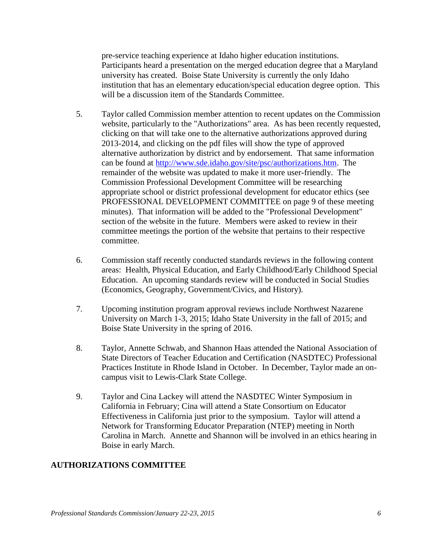pre-service teaching experience at Idaho higher education institutions. Participants heard a presentation on the merged education degree that a Maryland university has created. Boise State University is currently the only Idaho institution that has an elementary education/special education degree option. This will be a discussion item of the Standards Committee.

- 5. Taylor called Commission member attention to recent updates on the Commission website, particularly to the "Authorizations" area. As has been recently requested, clicking on that will take one to the alternative authorizations approved during 2013-2014, and clicking on the pdf files will show the type of approved alternative authorization by district and by endorsement. That same information can be found at [http://www.sde.idaho.gov/site/psc/authorizations.htm.](http://www.sde.idaho.gov/site/psc/authorizations.htm) The remainder of the website was updated to make it more user-friendly. The Commission Professional Development Committee will be researching appropriate school or district professional development for educator ethics (see PROFESSIONAL DEVELOPMENT COMMITTEE on page 9 of these meeting minutes). That information will be added to the "Professional Development" section of the website in the future. Members were asked to review in their committee meetings the portion of the website that pertains to their respective committee.
- 6. Commission staff recently conducted standards reviews in the following content areas: Health, Physical Education, and Early Childhood/Early Childhood Special Education. An upcoming standards review will be conducted in Social Studies (Economics, Geography, Government/Civics, and History).
- 7. Upcoming institution program approval reviews include Northwest Nazarene University on March 1-3, 2015; Idaho State University in the fall of 2015; and Boise State University in the spring of 2016.
- 8. Taylor, Annette Schwab, and Shannon Haas attended the National Association of State Directors of Teacher Education and Certification (NASDTEC) Professional Practices Institute in Rhode Island in October. In December, Taylor made an oncampus visit to Lewis-Clark State College.
- 9. Taylor and Cina Lackey will attend the NASDTEC Winter Symposium in California in February; Cina will attend a State Consortium on Educator Effectiveness in California just prior to the symposium. Taylor will attend a Network for Transforming Educator Preparation (NTEP) meeting in North Carolina in March. Annette and Shannon will be involved in an ethics hearing in Boise in early March.

## **AUTHORIZATIONS COMMITTEE**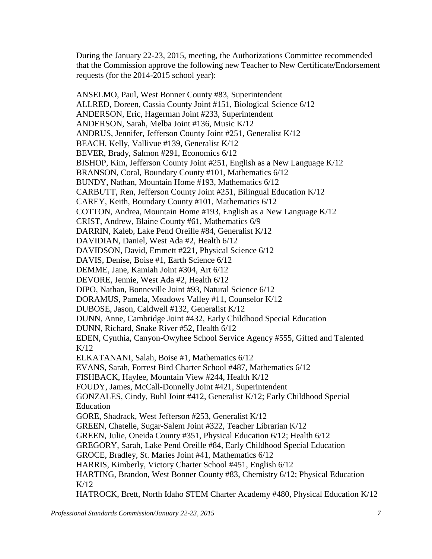During the January 22-23, 2015, meeting, the Authorizations Committee recommended that the Commission approve the following new Teacher to New Certificate/Endorsement requests (for the 2014-2015 school year):

ANSELMO, Paul, West Bonner County #83, Superintendent ALLRED, Doreen, Cassia County Joint #151, Biological Science 6/12 ANDERSON, Eric, Hagerman Joint #233, Superintendent ANDERSON, Sarah, Melba Joint #136, Music K/12 ANDRUS, Jennifer, Jefferson County Joint #251, Generalist K/12 BEACH, Kelly, Vallivue #139, Generalist K/12 BEVER, Brady, Salmon #291, Economics 6/12 BISHOP, Kim, Jefferson County Joint #251, English as a New Language K/12 BRANSON, Coral, Boundary County #101, Mathematics 6/12 BUNDY, Nathan, Mountain Home #193, Mathematics 6/12 CARBUTT, Ren, Jefferson County Joint #251, Bilingual Education K/12 CAREY, Keith, Boundary County #101, Mathematics 6/12 COTTON, Andrea, Mountain Home #193, English as a New Language K/12 CRIST, Andrew, Blaine County #61, Mathematics 6/9 DARRIN, Kaleb, Lake Pend Oreille #84, Generalist K/12 DAVIDIAN, Daniel, West Ada #2, Health 6/12 DAVIDSON, David, Emmett #221, Physical Science 6/12 DAVIS, Denise, Boise #1, Earth Science 6/12 DEMME, Jane, Kamiah Joint #304, Art 6/12 DEVORE, Jennie, West Ada #2, Health 6/12 DIPO, Nathan, Bonneville Joint #93, Natural Science 6/12 DORAMUS, Pamela, Meadows Valley #11, Counselor K/12 DUBOSE, Jason, Caldwell #132, Generalist K/12 DUNN, Anne, Cambridge Joint #432, Early Childhood Special Education DUNN, Richard, Snake River #52, Health 6/12 EDEN, Cynthia, Canyon-Owyhee School Service Agency #555, Gifted and Talented K/12 ELKATANANI, Salah, Boise #1, Mathematics 6/12 EVANS, Sarah, Forrest Bird Charter School #487, Mathematics 6/12 FISHBACK, Haylee, Mountain View #244, Health K/12 FOUDY, James, McCall-Donnelly Joint #421, Superintendent GONZALES, Cindy, Buhl Joint #412, Generalist K/12; Early Childhood Special Education GORE, Shadrack, West Jefferson #253, Generalist K/12 GREEN, Chatelle, Sugar-Salem Joint #322, Teacher Librarian K/12 GREEN, Julie, Oneida County #351, Physical Education 6/12; Health 6/12 GREGORY, Sarah, Lake Pend Oreille #84, Early Childhood Special Education GROCE, Bradley, St. Maries Joint #41, Mathematics 6/12 HARRIS, Kimberly, Victory Charter School #451, English 6/12 HARTING, Brandon, West Bonner County #83, Chemistry 6/12; Physical Education K/12 HATROCK, Brett, North Idaho STEM Charter Academy #480, Physical Education K/12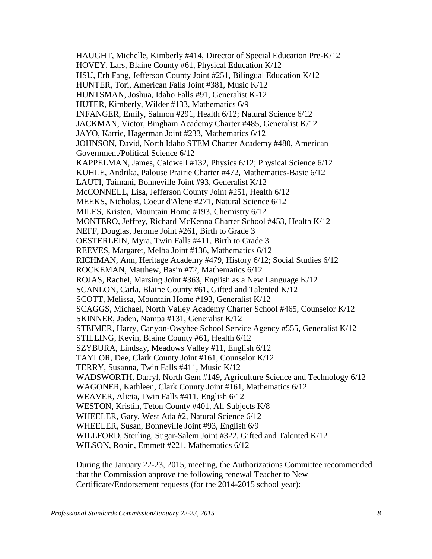HAUGHT, Michelle, Kimberly #414, Director of Special Education Pre-K/12 HOVEY, Lars, Blaine County #61, Physical Education K/12 HSU, Erh Fang, Jefferson County Joint #251, Bilingual Education K/12 HUNTER, Tori, American Falls Joint #381, Music K/12 HUNTSMAN, Joshua, Idaho Falls #91, Generalist K-12 HUTER, Kimberly, Wilder #133, Mathematics 6/9 INFANGER, Emily, Salmon #291, Health 6/12; Natural Science 6/12 JACKMAN, Victor, Bingham Academy Charter #485, Generalist K/12 JAYO, Karrie, Hagerman Joint #233, Mathematics 6/12 JOHNSON, David, North Idaho STEM Charter Academy #480, American Government/Political Science 6/12 KAPPELMAN, James, Caldwell #132, Physics 6/12; Physical Science 6/12 KUHLE, Andrika, Palouse Prairie Charter #472, Mathematics-Basic 6/12 LAUTI, Taimani, Bonneville Joint #93, Generalist K/12 McCONNELL, Lisa, Jefferson County Joint #251, Health 6/12 MEEKS, Nicholas, Coeur d'Alene #271, Natural Science 6/12 MILES, Kristen, Mountain Home #193, Chemistry 6/12 MONTERO, Jeffrey, Richard McKenna Charter School #453, Health K/12 NEFF, Douglas, Jerome Joint #261, Birth to Grade 3 OESTERLEIN, Myra, Twin Falls #411, Birth to Grade 3 REEVES, Margaret, Melba Joint #136, Mathematics 6/12 RICHMAN, Ann, Heritage Academy #479, History 6/12; Social Studies 6/12 ROCKEMAN, Matthew, Basin #72, Mathematics 6/12 ROJAS, Rachel, Marsing Joint #363, English as a New Language K/12 SCANLON, Carla, Blaine County #61, Gifted and Talented K/12 SCOTT, Melissa, Mountain Home #193, Generalist K/12 SCAGGS, Michael, North Valley Academy Charter School #465, Counselor K/12 SKINNER, Jaden, Nampa #131, Generalist K/12 STEIMER, Harry, Canyon-Owyhee School Service Agency #555, Generalist K/12 STILLING, Kevin, Blaine County #61, Health 6/12 SZYBURA, Lindsay, Meadows Valley #11, English 6/12 TAYLOR, Dee, Clark County Joint #161, Counselor K/12 TERRY, Susanna, Twin Falls #411, Music K/12 WADSWORTH, Darryl, North Gem #149, Agriculture Science and Technology 6/12 WAGONER, Kathleen, Clark County Joint #161, Mathematics 6/12 WEAVER, Alicia, Twin Falls #411, English 6/12 WESTON, Kristin, Teton County #401, All Subjects K/8 WHEELER, Gary, West Ada #2, Natural Science 6/12 WHEELER, Susan, Bonneville Joint #93, English 6/9 WILLFORD, Sterling, Sugar-Salem Joint #322, Gifted and Talented K/12 WILSON, Robin, Emmett #221, Mathematics 6/12

During the January 22-23, 2015, meeting, the Authorizations Committee recommended that the Commission approve the following renewal Teacher to New Certificate/Endorsement requests (for the 2014-2015 school year):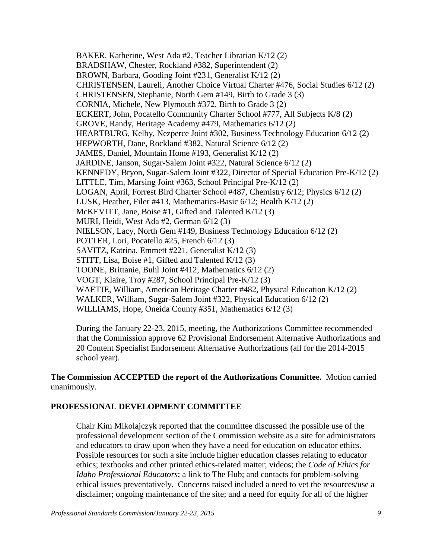BAKER, Katherine, West Ada #2, Teacher Librarian K/12 (2) BRADSHAW, Chester, Rockland #382, Superintendent (2) BROWN, Barbara, Gooding Joint #231, Generalist K/12 (2) CHRISTENSEN, Laureli, Another Choice Virtual Charter #476, Social Studies 6/12 (2) CHRISTENSEN, Stephanie, North Gem #149, Birth to Grade 3 (3) CORNIA, Michele, New Plymouth #372, Birth to Grade 3 (2) ECKERT, John, Pocatello Community Charter School #777, All Subjects K/8 (2) GROVE, Randy, Heritage Academy #479, Mathematics 6/12 (2) HEARTBURG, Kelby, Nezperce Joint #302, Business Technology Education 6/12 (2) HEPWORTH, Dane, Rockland #382, Natural Science 6/12 (2) JAMES, Daniel, Mountain Home #193, Generalist K/12 (2) JARDINE, Janson, Sugar-Salem Joint #322, Natural Science 6/12 (2) KENNEDY, Bryon, Sugar-Salem Joint #322, Director of Special Education Pre-K/12 (2) LITTLE, Tim, Marsing Joint #363, School Principal Pre-K/12 (2) LOGAN, April, Forrest Bird Charter School #487, Chemistry 6/12; Physics 6/12 (2) LUSK, Heather, Filer #413, Mathematics-Basic 6/12; Health K/12 (2) McKEVITT, Jane, Boise #1, Gifted and Talented K/12 (3) MURI, Heidi, West Ada #2, German 6/12 (3) NIELSON, Lacy, North Gem #149, Business Technology Education 6/12 (2) POTTER, Lori, Pocatello #25, French 6/12 (3) SAVITZ, Katrina, Emmett #221, Generalist K/12 (3) STITT, Lisa, Boise #1, Gifted and Talented K/12 (3) TOONE, Brittanie, Buhl Joint #412, Mathematics 6/12 (2) VOGT, Klaire, Troy #287, School Principal Pre-K/12 (3) WAETJE, William, American Heritage Charter #482, Physical Education K/12 (2) WALKER, William, Sugar-Salem Joint #322, Physical Education 6/12 (2) WILLIAMS, Hope, Oneida County #351, Mathematics 6/12 (3)

During the January 22-23, 2015, meeting, the Authorizations Committee recommended that the Commission approve 62 Provisional Endorsement Alternative Authorizations and 20 Content Specialist Endorsement Alternative Authorizations (all for the 2014-2015 school year).

**The Commission ACCEPTED the report of the Authorizations Committee.** Motion carried unanimously.

## **PROFESSIONAL DEVELOPMENT COMMITTEE**

Chair Kim Mikolajczyk reported that the committee discussed the possible use of the professional development section of the Commission website as a site for administrators and educators to draw upon when they have a need for education on educator ethics. Possible resources for such a site include higher education classes relating to educator ethics; textbooks and other printed ethics-related matter; videos; the *Code of Ethics for Idaho Professional Educators*; a link to The Hub; and contacts for problem-solving ethical issues preventatively. Concerns raised included a need to vet the resources/use a disclaimer; ongoing maintenance of the site; and a need for equity for all of the higher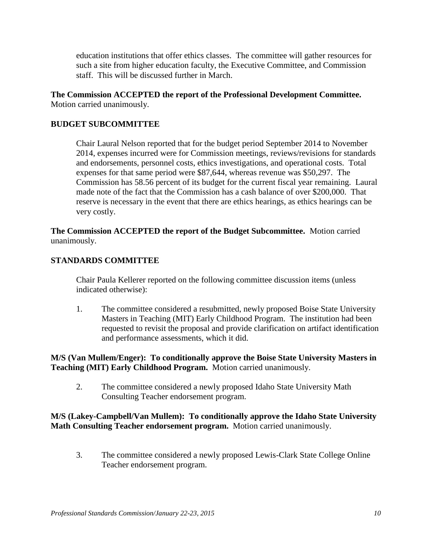education institutions that offer ethics classes. The committee will gather resources for such a site from higher education faculty, the Executive Committee, and Commission staff. This will be discussed further in March.

**The Commission ACCEPTED the report of the Professional Development Committee.**  Motion carried unanimously.

# **BUDGET SUBCOMMITTEE**

Chair Laural Nelson reported that for the budget period September 2014 to November 2014, expenses incurred were for Commission meetings, reviews/revisions for standards and endorsements, personnel costs, ethics investigations, and operational costs. Total expenses for that same period were \$87,644, whereas revenue was \$50,297. The Commission has 58.56 percent of its budget for the current fiscal year remaining. Laural made note of the fact that the Commission has a cash balance of over \$200,000. That reserve is necessary in the event that there are ethics hearings, as ethics hearings can be very costly.

**The Commission ACCEPTED the report of the Budget Subcommittee.** Motion carried unanimously.

## **STANDARDS COMMITTEE**

Chair Paula Kellerer reported on the following committee discussion items (unless indicated otherwise):

1. The committee considered a resubmitted, newly proposed Boise State University Masters in Teaching (MIT) Early Childhood Program. The institution had been requested to revisit the proposal and provide clarification on artifact identification and performance assessments, which it did.

**M/S (Van Mullem/Enger): To conditionally approve the Boise State University Masters in Teaching (MIT) Early Childhood Program.** Motion carried unanimously.

2. The committee considered a newly proposed Idaho State University Math Consulting Teacher endorsement program.

## **M/S (Lakey-Campbell/Van Mullem): To conditionally approve the Idaho State University Math Consulting Teacher endorsement program.** Motion carried unanimously.

3. The committee considered a newly proposed Lewis-Clark State College Online Teacher endorsement program.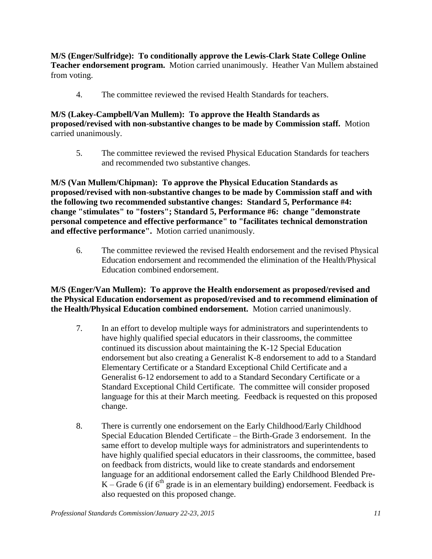**M/S (Enger/Sulfridge): To conditionally approve the Lewis-Clark State College Online Teacher endorsement program.** Motion carried unanimously. Heather Van Mullem abstained from voting.

4. The committee reviewed the revised Health Standards for teachers.

## **M/S (Lakey-Campbell/Van Mullem): To approve the Health Standards as proposed/revised with non-substantive changes to be made by Commission staff.** Motion carried unanimously.

5. The committee reviewed the revised Physical Education Standards for teachers and recommended two substantive changes.

**M/S (Van Mullem/Chipman): To approve the Physical Education Standards as proposed/revised with non-substantive changes to be made by Commission staff and with the following two recommended substantive changes: Standard 5, Performance #4: change "stimulates" to "fosters"; Standard 5, Performance #6: change "demonstrate personal competence and effective performance" to "facilitates technical demonstration and effective performance".** Motion carried unanimously.

6. The committee reviewed the revised Health endorsement and the revised Physical Education endorsement and recommended the elimination of the Health/Physical Education combined endorsement.

# **M/S (Enger/Van Mullem): To approve the Health endorsement as proposed/revised and the Physical Education endorsement as proposed/revised and to recommend elimination of the Health/Physical Education combined endorsement.** Motion carried unanimously.

- 7. In an effort to develop multiple ways for administrators and superintendents to have highly qualified special educators in their classrooms, the committee continued its discussion about maintaining the K-12 Special Education endorsement but also creating a Generalist K-8 endorsement to add to a Standard Elementary Certificate or a Standard Exceptional Child Certificate and a Generalist 6-12 endorsement to add to a Standard Secondary Certificate or a Standard Exceptional Child Certificate. The committee will consider proposed language for this at their March meeting. Feedback is requested on this proposed change.
- 8. There is currently one endorsement on the Early Childhood/Early Childhood Special Education Blended Certificate – the Birth-Grade 3 endorsement. In the same effort to develop multiple ways for administrators and superintendents to have highly qualified special educators in their classrooms, the committee, based on feedback from districts, would like to create standards and endorsement language for an additional endorsement called the Early Childhood Blended Pre-K – Grade 6 (if  $6<sup>th</sup>$  grade is in an elementary building) endorsement. Feedback is also requested on this proposed change.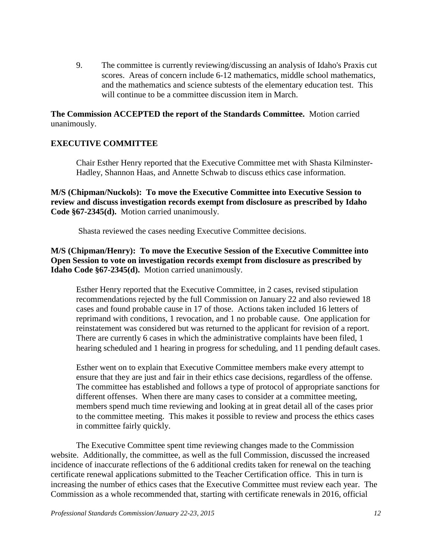9. The committee is currently reviewing/discussing an analysis of Idaho's Praxis cut scores. Areas of concern include 6-12 mathematics, middle school mathematics, and the mathematics and science subtests of the elementary education test. This will continue to be a committee discussion item in March.

**The Commission ACCEPTED the report of the Standards Committee.** Motion carried unanimously.

## **EXECUTIVE COMMITTEE**

Chair Esther Henry reported that the Executive Committee met with Shasta Kilminster-Hadley, Shannon Haas, and Annette Schwab to discuss ethics case information.

**M/S (Chipman/Nuckols): To move the Executive Committee into Executive Session to review and discuss investigation records exempt from disclosure as prescribed by Idaho Code §67-2345(d).** Motion carried unanimously.

Shasta reviewed the cases needing Executive Committee decisions.

**M/S (Chipman/Henry): To move the Executive Session of the Executive Committee into Open Session to vote on investigation records exempt from disclosure as prescribed by Idaho Code §67-2345(d).** Motion carried unanimously.

Esther Henry reported that the Executive Committee, in 2 cases, revised stipulation recommendations rejected by the full Commission on January 22 and also reviewed 18 cases and found probable cause in 17 of those. Actions taken included 16 letters of reprimand with conditions, 1 revocation, and 1 no probable cause. One application for reinstatement was considered but was returned to the applicant for revision of a report. There are currently 6 cases in which the administrative complaints have been filed, 1 hearing scheduled and 1 hearing in progress for scheduling, and 11 pending default cases.

Esther went on to explain that Executive Committee members make every attempt to ensure that they are just and fair in their ethics case decisions, regardless of the offense. The committee has established and follows a type of protocol of appropriate sanctions for different offenses. When there are many cases to consider at a committee meeting, members spend much time reviewing and looking at in great detail all of the cases prior to the committee meeting. This makes it possible to review and process the ethics cases in committee fairly quickly.

The Executive Committee spent time reviewing changes made to the Commission website. Additionally, the committee, as well as the full Commission, discussed the increased incidence of inaccurate reflections of the 6 additional credits taken for renewal on the teaching certificate renewal applications submitted to the Teacher Certification office. This in turn is increasing the number of ethics cases that the Executive Committee must review each year. The Commission as a whole recommended that, starting with certificate renewals in 2016, official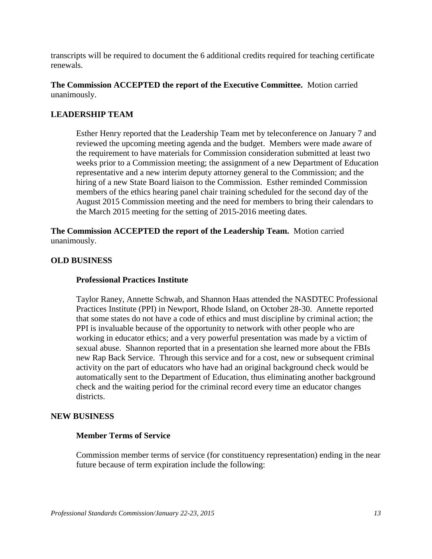transcripts will be required to document the 6 additional credits required for teaching certificate renewals.

**The Commission ACCEPTED the report of the Executive Committee.** Motion carried unanimously.

## **LEADERSHIP TEAM**

Esther Henry reported that the Leadership Team met by teleconference on January 7 and reviewed the upcoming meeting agenda and the budget. Members were made aware of the requirement to have materials for Commission consideration submitted at least two weeks prior to a Commission meeting; the assignment of a new Department of Education representative and a new interim deputy attorney general to the Commission; and the hiring of a new State Board liaison to the Commission. Esther reminded Commission members of the ethics hearing panel chair training scheduled for the second day of the August 2015 Commission meeting and the need for members to bring their calendars to the March 2015 meeting for the setting of 2015-2016 meeting dates.

**The Commission ACCEPTED the report of the Leadership Team.** Motion carried unanimously.

#### **OLD BUSINESS**

#### **Professional Practices Institute**

Taylor Raney, Annette Schwab, and Shannon Haas attended the NASDTEC Professional Practices Institute (PPI) in Newport, Rhode Island, on October 28-30. Annette reported that some states do not have a code of ethics and must discipline by criminal action; the PPI is invaluable because of the opportunity to network with other people who are working in educator ethics; and a very powerful presentation was made by a victim of sexual abuse. Shannon reported that in a presentation she learned more about the FBIs new Rap Back Service. Through this service and for a cost, new or subsequent criminal activity on the part of educators who have had an original background check would be automatically sent to the Department of Education, thus eliminating another background check and the waiting period for the criminal record every time an educator changes districts.

#### **NEW BUSINESS**

#### **Member Terms of Service**

Commission member terms of service (for constituency representation) ending in the near future because of term expiration include the following: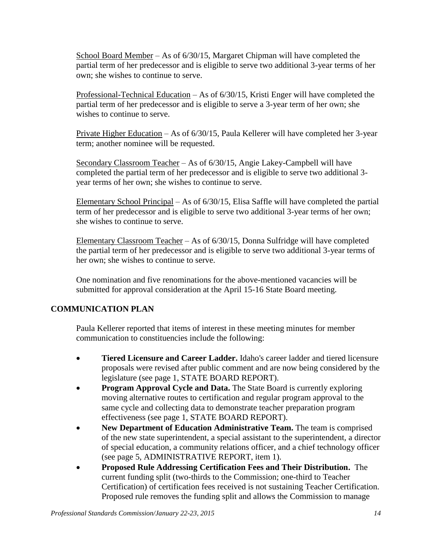School Board Member – As of 6/30/15, Margaret Chipman will have completed the partial term of her predecessor and is eligible to serve two additional 3-year terms of her own; she wishes to continue to serve.

Professional-Technical Education – As of 6/30/15, Kristi Enger will have completed the partial term of her predecessor and is eligible to serve a 3-year term of her own; she wishes to continue to serve.

Private Higher Education – As of 6/30/15, Paula Kellerer will have completed her 3-year term; another nominee will be requested.

Secondary Classroom Teacher – As of 6/30/15, Angie Lakey-Campbell will have completed the partial term of her predecessor and is eligible to serve two additional 3 year terms of her own; she wishes to continue to serve.

Elementary School Principal – As of 6/30/15, Elisa Saffle will have completed the partial term of her predecessor and is eligible to serve two additional 3-year terms of her own; she wishes to continue to serve.

Elementary Classroom Teacher – As of 6/30/15, Donna Sulfridge will have completed the partial term of her predecessor and is eligible to serve two additional 3-year terms of her own; she wishes to continue to serve.

One nomination and five renominations for the above-mentioned vacancies will be submitted for approval consideration at the April 15-16 State Board meeting.

# **COMMUNICATION PLAN**

Paula Kellerer reported that items of interest in these meeting minutes for member communication to constituencies include the following:

- **Tiered Licensure and Career Ladder.** Idaho's career ladder and tiered licensure proposals were revised after public comment and are now being considered by the legislature (see page 1, STATE BOARD REPORT).
- **Program Approval Cycle and Data.** The State Board is currently exploring moving alternative routes to certification and regular program approval to the same cycle and collecting data to demonstrate teacher preparation program effectiveness (see page 1, STATE BOARD REPORT).
- **New Department of Education Administrative Team.** The team is comprised of the new state superintendent, a special assistant to the superintendent, a director of special education, a community relations officer, and a chief technology officer (see page 5, ADMINISTRATIVE REPORT, item 1).
- **Proposed Rule Addressing Certification Fees and Their Distribution.** The current funding split (two-thirds to the Commission; one-third to Teacher Certification) of certification fees received is not sustaining Teacher Certification. Proposed rule removes the funding split and allows the Commission to manage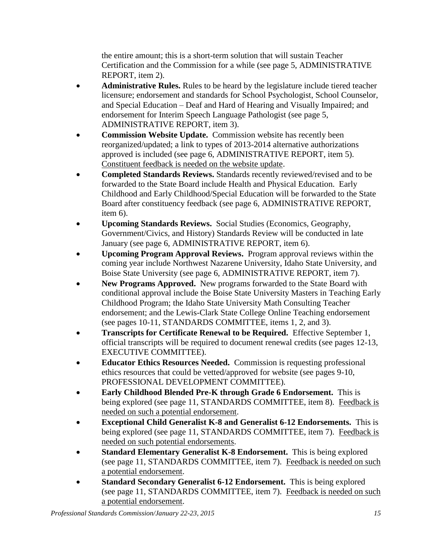the entire amount; this is a short-term solution that will sustain Teacher Certification and the Commission for a while (see page 5, ADMINISTRATIVE REPORT, item 2).

- **Administrative Rules.** Rules to be heard by the legislature include tiered teacher licensure; endorsement and standards for School Psychologist, School Counselor, and Special Education – Deaf and Hard of Hearing and Visually Impaired; and endorsement for Interim Speech Language Pathologist (see page 5, ADMINISTRATIVE REPORT, item 3).
- **Commission Website Update.** Commission website has recently been reorganized/updated; a link to types of 2013-2014 alternative authorizations approved is included (see page 6, ADMINISTRATIVE REPORT, item 5). Constituent feedback is needed on the website update.
- **Completed Standards Reviews.** Standards recently reviewed/revised and to be forwarded to the State Board include Health and Physical Education. Early Childhood and Early Childhood/Special Education will be forwarded to the State Board after constituency feedback (see page 6, ADMINISTRATIVE REPORT, item 6).
- **Upcoming Standards Reviews.** Social Studies (Economics, Geography, Government/Civics, and History) Standards Review will be conducted in late January (see page 6, ADMINISTRATIVE REPORT, item 6).
- **Upcoming Program Approval Reviews.** Program approval reviews within the coming year include Northwest Nazarene University, Idaho State University, and Boise State University (see page 6, ADMINISTRATIVE REPORT, item 7).
- **New Programs Approved.** New programs forwarded to the State Board with conditional approval include the Boise State University Masters in Teaching Early Childhood Program; the Idaho State University Math Consulting Teacher endorsement; and the Lewis-Clark State College Online Teaching endorsement (see pages 10-11, STANDARDS COMMITTEE, items 1, 2, and 3).
- **Transcripts for Certificate Renewal to be Required.** Effective September 1, official transcripts will be required to document renewal credits (see pages 12-13, EXECUTIVE COMMITTEE).
- **Educator Ethics Resources Needed.** Commission is requesting professional ethics resources that could be vetted/approved for website (see pages 9-10, PROFESSIONAL DEVELOPMENT COMMITTEE).
- **Early Childhood Blended Pre-K through Grade 6 Endorsement.** This is being explored (see page 11, STANDARDS COMMITTEE, item 8). Feedback is needed on such a potential endorsement.
- **Exceptional Child Generalist K-8 and Generalist 6-12 Endorsements.** This is being explored (see page 11, STANDARDS COMMITTEE, item 7). Feedback is needed on such potential endorsements.
- **Standard Elementary Generalist K-8 Endorsement.** This is being explored (see page 11, STANDARDS COMMITTEE, item 7). Feedback is needed on such a potential endorsement.
- **Standard Secondary Generalist 6-12 Endorsement.** This is being explored (see page 11, STANDARDS COMMITTEE, item 7). Feedback is needed on such a potential endorsement.